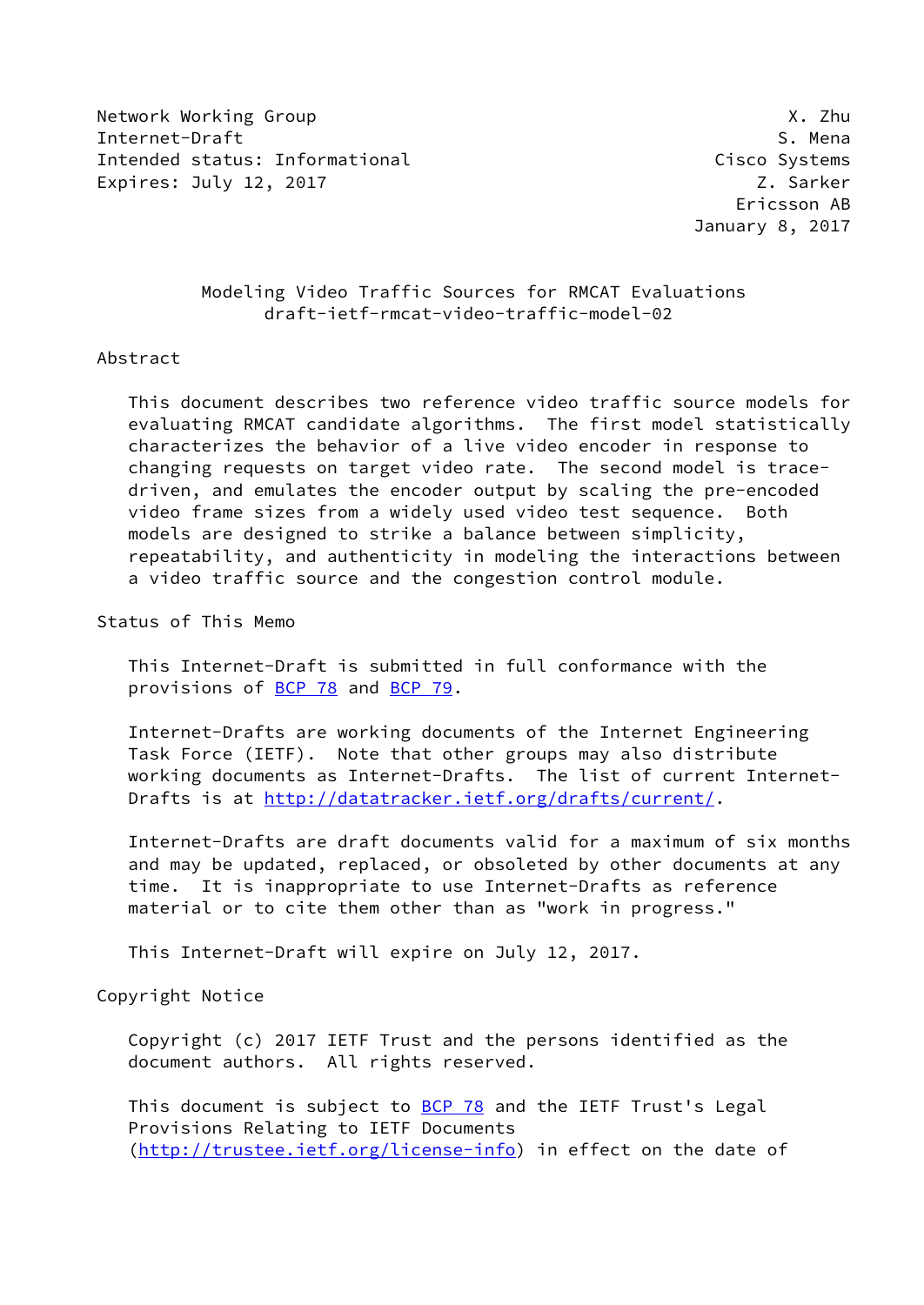Network Working Group **X.2hu** Internet-Draft S. Mena Intended status: Informational Cisco Systems Expires: July 12, 2017 **Z. Sarker** 

 Ericsson AB January 8, 2017

## Modeling Video Traffic Sources for RMCAT Evaluations draft-ietf-rmcat-video-traffic-model-02

## Abstract

 This document describes two reference video traffic source models for evaluating RMCAT candidate algorithms. The first model statistically characterizes the behavior of a live video encoder in response to changing requests on target video rate. The second model is trace driven, and emulates the encoder output by scaling the pre-encoded video frame sizes from a widely used video test sequence. Both models are designed to strike a balance between simplicity, repeatability, and authenticity in modeling the interactions between a video traffic source and the congestion control module.

Status of This Memo

 This Internet-Draft is submitted in full conformance with the provisions of [BCP 78](https://datatracker.ietf.org/doc/pdf/bcp78) and [BCP 79](https://datatracker.ietf.org/doc/pdf/bcp79).

 Internet-Drafts are working documents of the Internet Engineering Task Force (IETF). Note that other groups may also distribute working documents as Internet-Drafts. The list of current Internet- Drafts is at<http://datatracker.ietf.org/drafts/current/>.

 Internet-Drafts are draft documents valid for a maximum of six months and may be updated, replaced, or obsoleted by other documents at any time. It is inappropriate to use Internet-Drafts as reference material or to cite them other than as "work in progress."

This Internet-Draft will expire on July 12, 2017.

Copyright Notice

 Copyright (c) 2017 IETF Trust and the persons identified as the document authors. All rights reserved.

This document is subject to **[BCP 78](https://datatracker.ietf.org/doc/pdf/bcp78)** and the IETF Trust's Legal Provisions Relating to IETF Documents [\(http://trustee.ietf.org/license-info](http://trustee.ietf.org/license-info)) in effect on the date of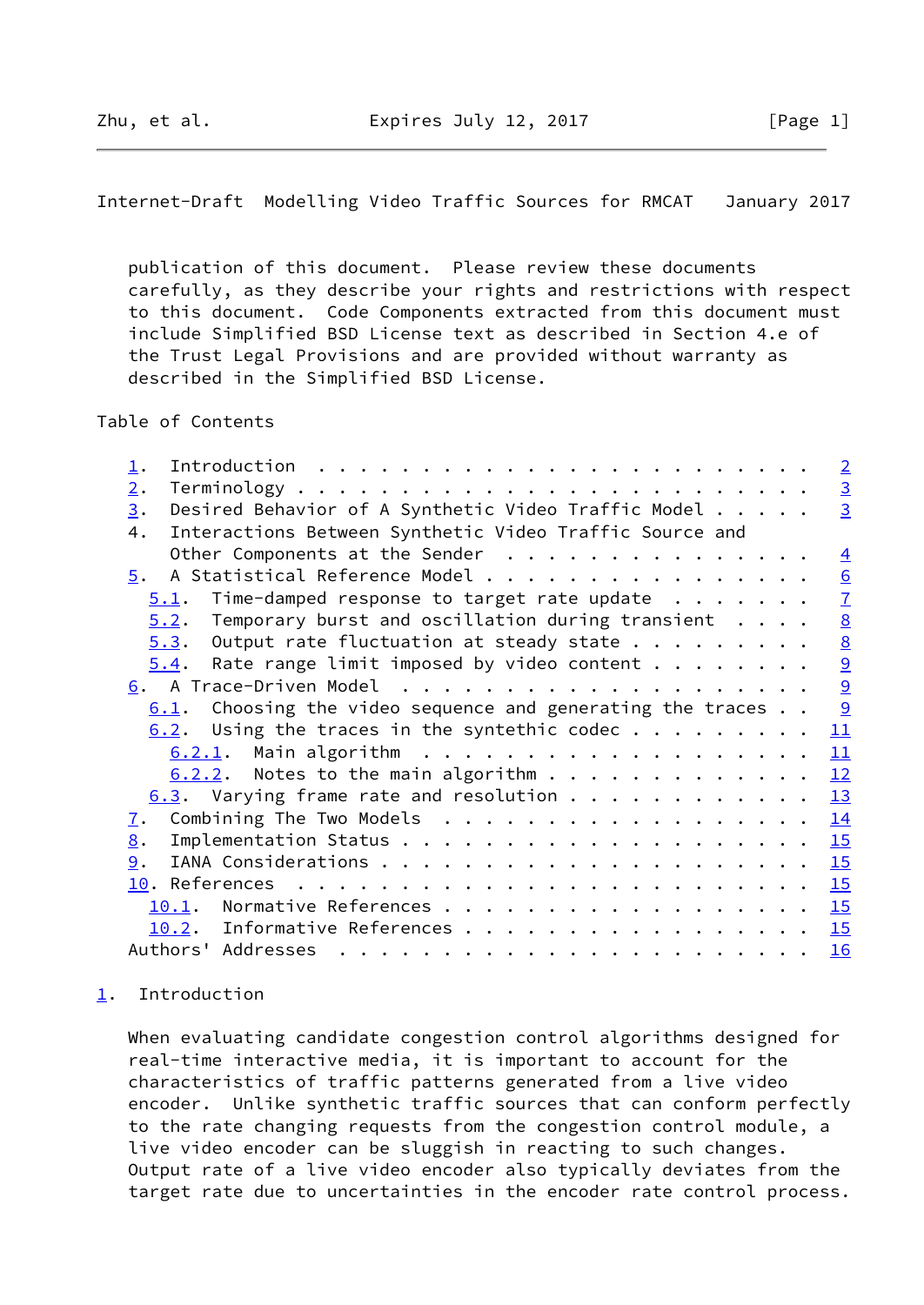<span id="page-1-1"></span>Internet-Draft Modelling Video Traffic Sources for RMCAT January 2017

 publication of this document. Please review these documents carefully, as they describe your rights and restrictions with respect to this document. Code Components extracted from this document must include Simplified BSD License text as described in Section 4.e of the Trust Legal Provisions and are provided without warranty as described in the Simplified BSD License.

Table of Contents

| $\perp$ .                                                                                                                                                                                                                                                                                                                                                                                                                                                                                                            | $\overline{2}$  |
|----------------------------------------------------------------------------------------------------------------------------------------------------------------------------------------------------------------------------------------------------------------------------------------------------------------------------------------------------------------------------------------------------------------------------------------------------------------------------------------------------------------------|-----------------|
| 2.                                                                                                                                                                                                                                                                                                                                                                                                                                                                                                                   | $\overline{3}$  |
| Desired Behavior of A Synthetic Video Traffic Model<br>3.                                                                                                                                                                                                                                                                                                                                                                                                                                                            | $\overline{3}$  |
| Interactions Between Synthetic Video Traffic Source and<br>4.                                                                                                                                                                                                                                                                                                                                                                                                                                                        |                 |
| Other Components at the Sender                                                                                                                                                                                                                                                                                                                                                                                                                                                                                       | $\overline{4}$  |
| A Statistical Reference Model<br>5.                                                                                                                                                                                                                                                                                                                                                                                                                                                                                  | 6               |
| Time-damped response to target rate update $\ldots$<br>5.1.                                                                                                                                                                                                                                                                                                                                                                                                                                                          | $\overline{1}$  |
| Temporary burst and oscillation during transient<br>5.2.                                                                                                                                                                                                                                                                                                                                                                                                                                                             | $\underline{8}$ |
| Output rate fluctuation at steady state<br>5.3.                                                                                                                                                                                                                                                                                                                                                                                                                                                                      | $\underline{8}$ |
| Rate range limit imposed by video content $\cdots$<br>5.4.                                                                                                                                                                                                                                                                                                                                                                                                                                                           |                 |
|                                                                                                                                                                                                                                                                                                                                                                                                                                                                                                                      | $\frac{9}{9}$   |
| Choosing the video sequence and generating the traces<br>6.1.                                                                                                                                                                                                                                                                                                                                                                                                                                                        | $\overline{9}$  |
| Using the traces in the syntethic codec $\dots$<br>6.2.                                                                                                                                                                                                                                                                                                                                                                                                                                                              | 11              |
|                                                                                                                                                                                                                                                                                                                                                                                                                                                                                                                      | 11              |
| $6.2.2$ . Notes to the main algorithm                                                                                                                                                                                                                                                                                                                                                                                                                                                                                | 12              |
| $6.3$ . Varying frame rate and resolution                                                                                                                                                                                                                                                                                                                                                                                                                                                                            | 13              |
| Combining The Two Models<br>$\overline{1}$ .                                                                                                                                                                                                                                                                                                                                                                                                                                                                         | 14              |
| 8.                                                                                                                                                                                                                                                                                                                                                                                                                                                                                                                   | 15              |
| 9.                                                                                                                                                                                                                                                                                                                                                                                                                                                                                                                   | 15              |
|                                                                                                                                                                                                                                                                                                                                                                                                                                                                                                                      | 15              |
| 10.1.                                                                                                                                                                                                                                                                                                                                                                                                                                                                                                                | 15              |
| 10.2. Informative References                                                                                                                                                                                                                                                                                                                                                                                                                                                                                         | 15              |
| Authors' Addresses<br>$\mathbf{r}^{\prime} \cdot \mathbf{r}^{\prime} \cdot \mathbf{r}^{\prime} \cdot \mathbf{r}^{\prime} \cdot \mathbf{r}^{\prime} \cdot \mathbf{r}^{\prime} \cdot \mathbf{r}^{\prime} \cdot \mathbf{r}^{\prime} \cdot \mathbf{r}^{\prime} \cdot \mathbf{r}^{\prime} \cdot \mathbf{r}^{\prime} \cdot \mathbf{r}^{\prime} \cdot \mathbf{r}^{\prime} \cdot \mathbf{r}^{\prime} \cdot \mathbf{r}^{\prime} \cdot \mathbf{r}^{\prime} \cdot \mathbf{r}^{\prime} \cdot \mathbf{r}^{\prime} \cdot \mathbf{$ | 16              |

## <span id="page-1-0"></span>[1](#page-1-0). Introduction

 When evaluating candidate congestion control algorithms designed for real-time interactive media, it is important to account for the characteristics of traffic patterns generated from a live video encoder. Unlike synthetic traffic sources that can conform perfectly to the rate changing requests from the congestion control module, a live video encoder can be sluggish in reacting to such changes. Output rate of a live video encoder also typically deviates from the target rate due to uncertainties in the encoder rate control process.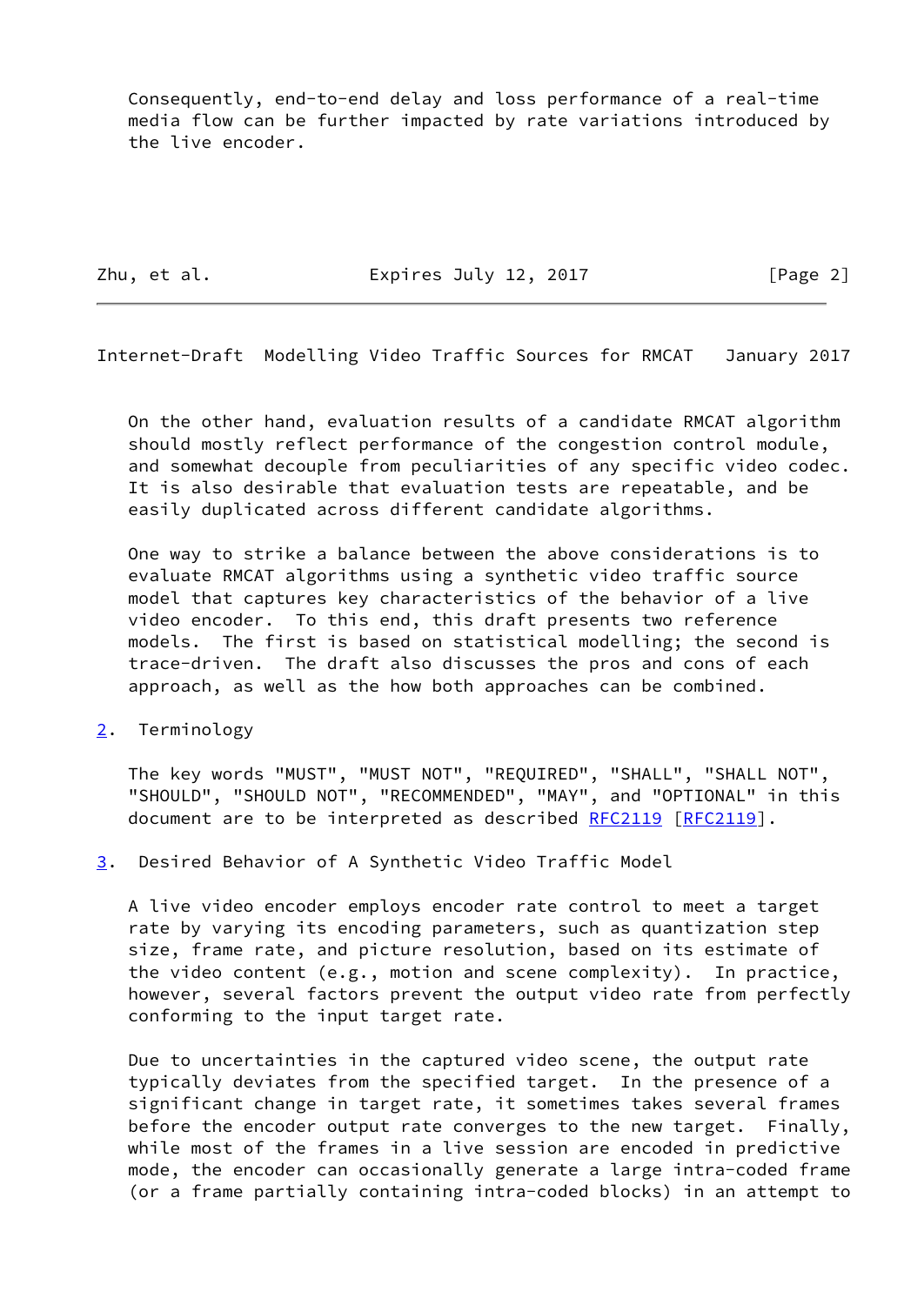Consequently, end-to-end delay and loss performance of a real-time media flow can be further impacted by rate variations introduced by the live encoder.

Zhu, et al. **Expires July 12, 2017** [Page 2]

<span id="page-2-1"></span>Internet-Draft Modelling Video Traffic Sources for RMCAT January 2017

 On the other hand, evaluation results of a candidate RMCAT algorithm should mostly reflect performance of the congestion control module, and somewhat decouple from peculiarities of any specific video codec. It is also desirable that evaluation tests are repeatable, and be easily duplicated across different candidate algorithms.

 One way to strike a balance between the above considerations is to evaluate RMCAT algorithms using a synthetic video traffic source model that captures key characteristics of the behavior of a live video encoder. To this end, this draft presents two reference models. The first is based on statistical modelling; the second is trace-driven. The draft also discusses the pros and cons of each approach, as well as the how both approaches can be combined.

<span id="page-2-0"></span>[2](#page-2-0). Terminology

 The key words "MUST", "MUST NOT", "REQUIRED", "SHALL", "SHALL NOT", "SHOULD", "SHOULD NOT", "RECOMMENDED", "MAY", and "OPTIONAL" in this document are to be interpreted as described [RFC2119 \[RFC2119](https://datatracker.ietf.org/doc/pdf/rfc2119)].

<span id="page-2-2"></span>[3](#page-2-2). Desired Behavior of A Synthetic Video Traffic Model

 A live video encoder employs encoder rate control to meet a target rate by varying its encoding parameters, such as quantization step size, frame rate, and picture resolution, based on its estimate of the video content (e.g., motion and scene complexity). In practice, however, several factors prevent the output video rate from perfectly conforming to the input target rate.

 Due to uncertainties in the captured video scene, the output rate typically deviates from the specified target. In the presence of a significant change in target rate, it sometimes takes several frames before the encoder output rate converges to the new target. Finally, while most of the frames in a live session are encoded in predictive mode, the encoder can occasionally generate a large intra-coded frame (or a frame partially containing intra-coded blocks) in an attempt to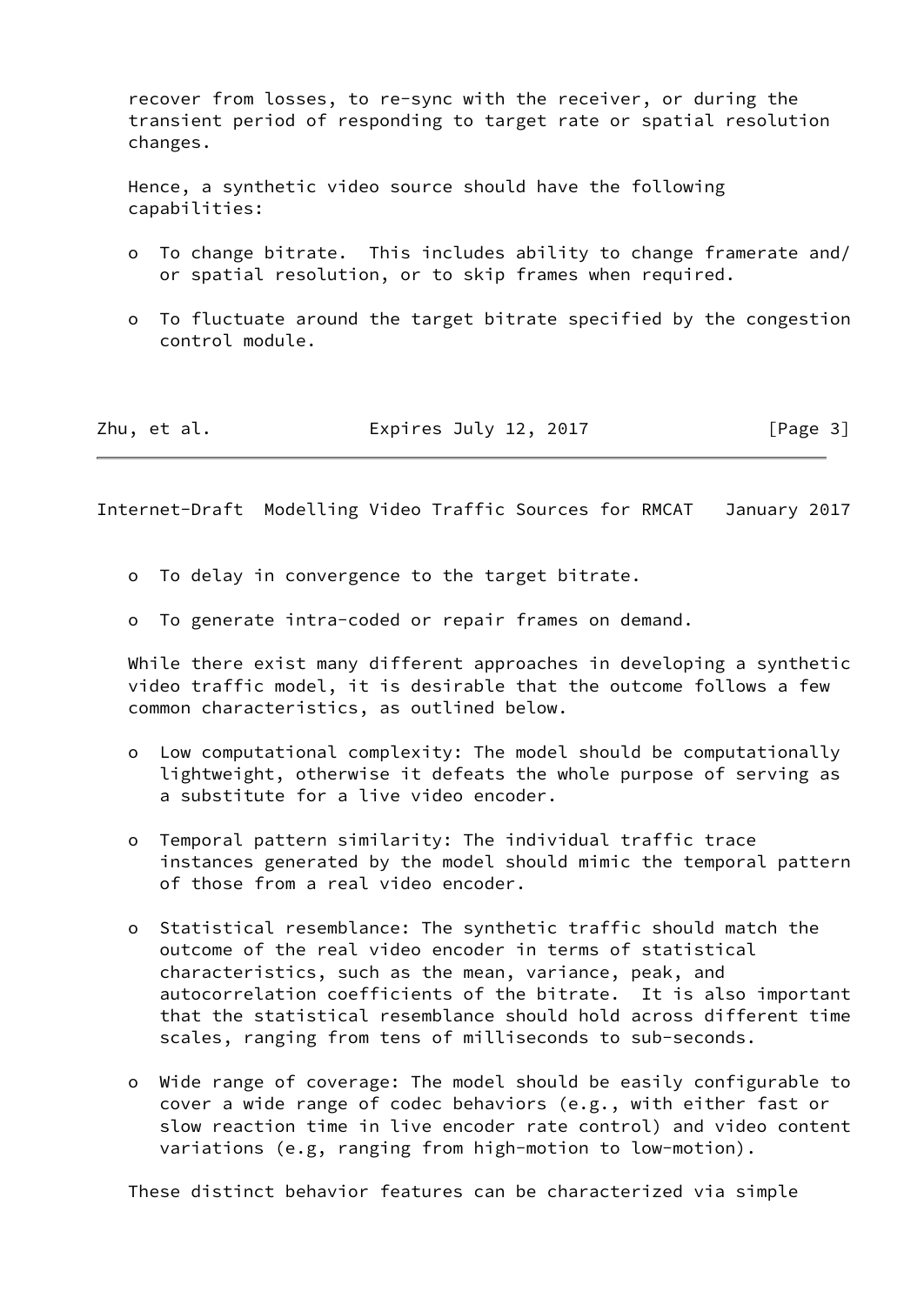recover from losses, to re-sync with the receiver, or during the transient period of responding to target rate or spatial resolution changes.

 Hence, a synthetic video source should have the following capabilities:

- o To change bitrate. This includes ability to change framerate and/ or spatial resolution, or to skip frames when required.
- o To fluctuate around the target bitrate specified by the congestion control module.

| Zhu, et al. | Expires July 12, 2017 | [Page 3] |
|-------------|-----------------------|----------|
|-------------|-----------------------|----------|

<span id="page-3-0"></span>Internet-Draft Modelling Video Traffic Sources for RMCAT January 2017

- o To delay in convergence to the target bitrate.
- o To generate intra-coded or repair frames on demand.

 While there exist many different approaches in developing a synthetic video traffic model, it is desirable that the outcome follows a few common characteristics, as outlined below.

- o Low computational complexity: The model should be computationally lightweight, otherwise it defeats the whole purpose of serving as a substitute for a live video encoder.
- o Temporal pattern similarity: The individual traffic trace instances generated by the model should mimic the temporal pattern of those from a real video encoder.
- o Statistical resemblance: The synthetic traffic should match the outcome of the real video encoder in terms of statistical characteristics, such as the mean, variance, peak, and autocorrelation coefficients of the bitrate. It is also important that the statistical resemblance should hold across different time scales, ranging from tens of milliseconds to sub-seconds.
- o Wide range of coverage: The model should be easily configurable to cover a wide range of codec behaviors (e.g., with either fast or slow reaction time in live encoder rate control) and video content variations (e.g, ranging from high-motion to low-motion).

These distinct behavior features can be characterized via simple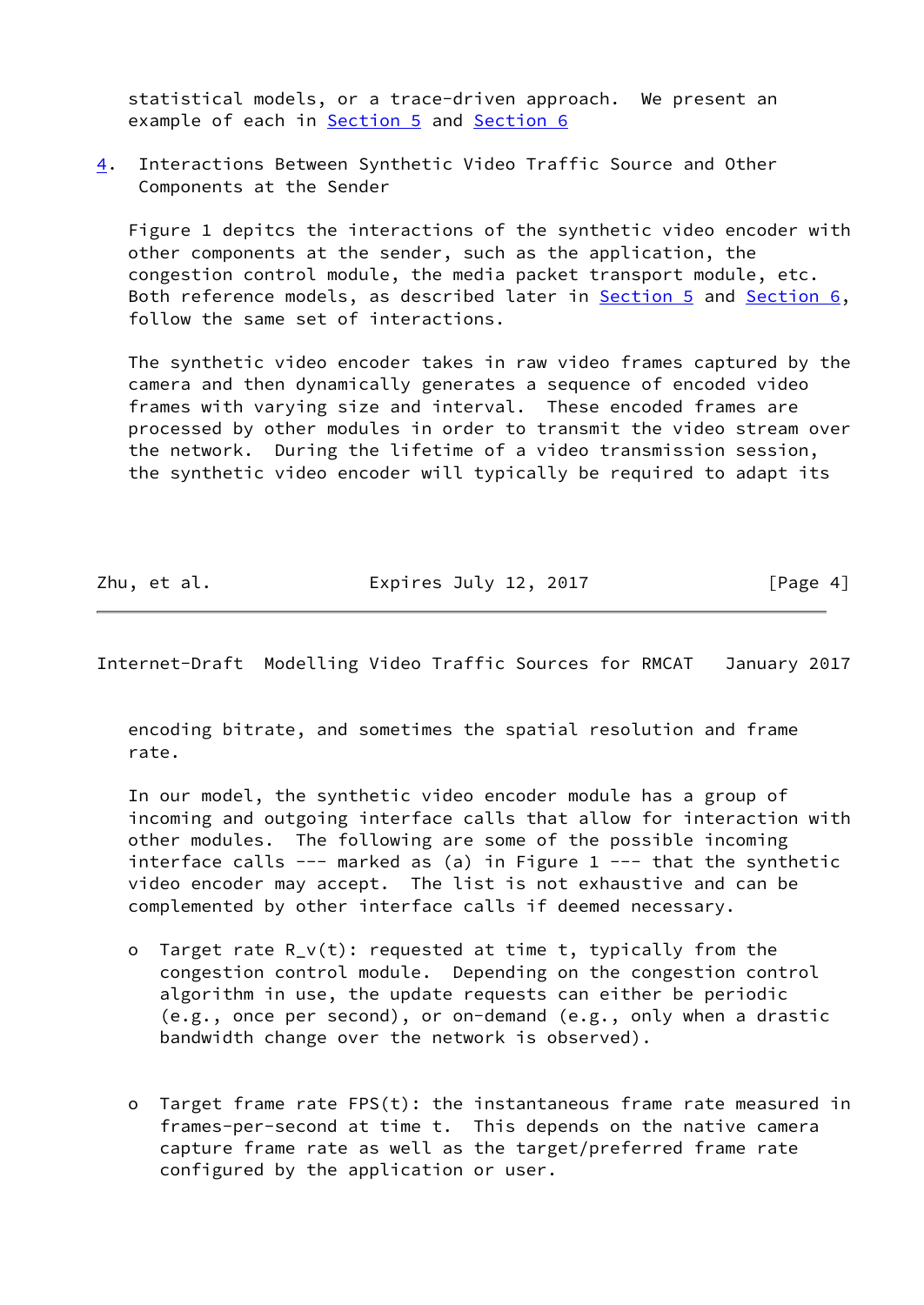statistical models, or a trace-driven approach. We present an example of each in [Section 5](#page-6-0) and [Section 6](#page-9-2)

<span id="page-4-0"></span>[4](#page-4-0). Interactions Between Synthetic Video Traffic Source and Other Components at the Sender

 Figure 1 depitcs the interactions of the synthetic video encoder with other components at the sender, such as the application, the congestion control module, the media packet transport module, etc. Both reference models, as described later in [Section 5](#page-6-0) and [Section 6,](#page-9-2) follow the same set of interactions.

 The synthetic video encoder takes in raw video frames captured by the camera and then dynamically generates a sequence of encoded video frames with varying size and interval. These encoded frames are processed by other modules in order to transmit the video stream over the network. During the lifetime of a video transmission session, the synthetic video encoder will typically be required to adapt its

Zhu, et al. **Expires July 12, 2017** [Page 4]

Internet-Draft Modelling Video Traffic Sources for RMCAT January 2017

 encoding bitrate, and sometimes the spatial resolution and frame rate.

 In our model, the synthetic video encoder module has a group of incoming and outgoing interface calls that allow for interaction with other modules. The following are some of the possible incoming interface calls --- marked as (a) in Figure  $1$  --- that the synthetic video encoder may accept. The list is not exhaustive and can be complemented by other interface calls if deemed necessary.

- o Target rate R\_v(t): requested at time t, typically from the congestion control module. Depending on the congestion control algorithm in use, the update requests can either be periodic (e.g., once per second), or on-demand (e.g., only when a drastic bandwidth change over the network is observed).
- o Target frame rate FPS(t): the instantaneous frame rate measured in frames-per-second at time t. This depends on the native camera capture frame rate as well as the target/preferred frame rate configured by the application or user.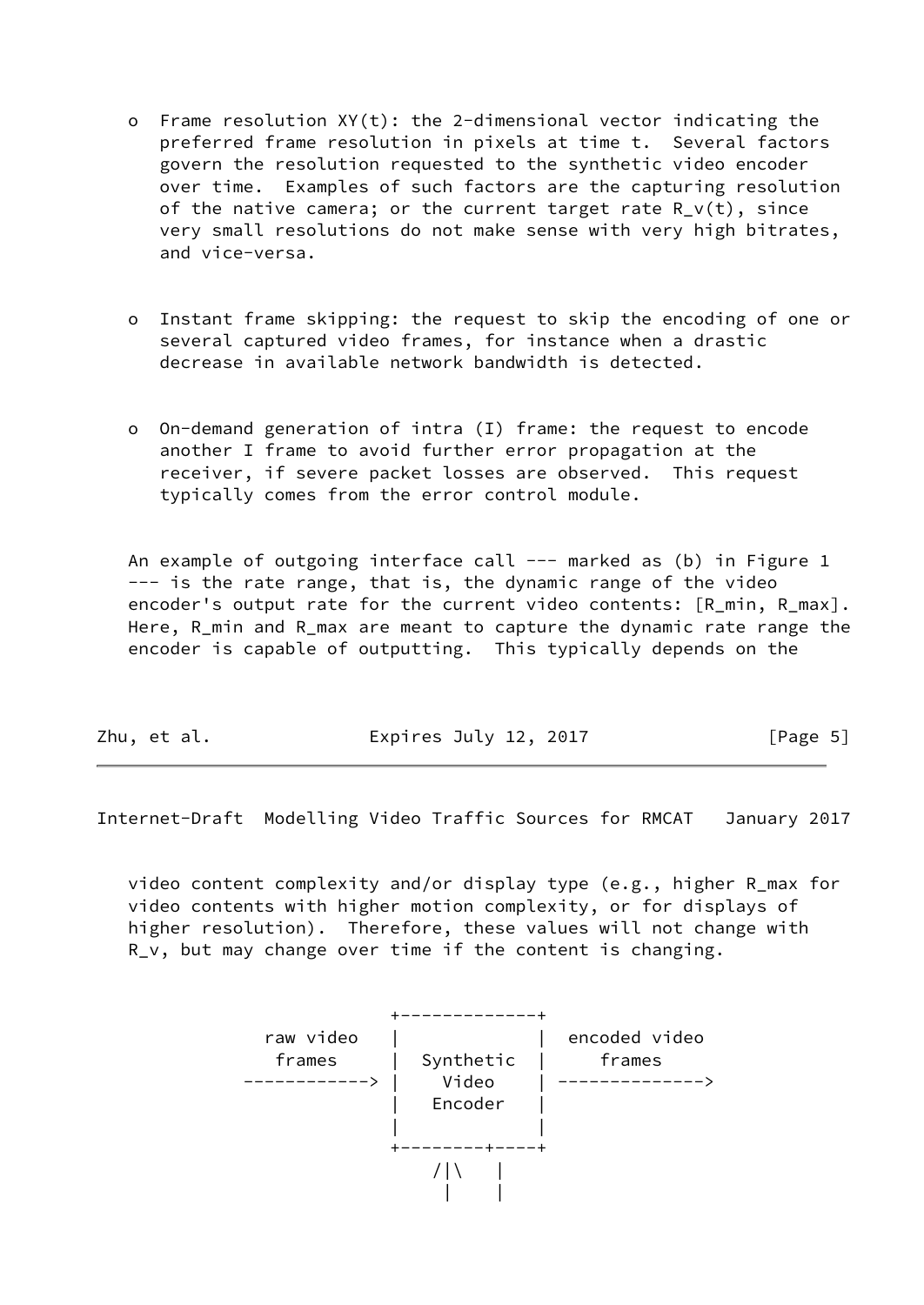- o Frame resolution XY(t): the 2-dimensional vector indicating the preferred frame resolution in pixels at time t. Several factors govern the resolution requested to the synthetic video encoder over time. Examples of such factors are the capturing resolution of the native camera; or the current target rate  $R_v(t)$ , since very small resolutions do not make sense with very high bitrates, and vice-versa.
- o Instant frame skipping: the request to skip the encoding of one or several captured video frames, for instance when a drastic decrease in available network bandwidth is detected.
- o On-demand generation of intra (I) frame: the request to encode another I frame to avoid further error propagation at the receiver, if severe packet losses are observed. This request typically comes from the error control module.

An example of outgoing interface call --- marked as (b) in Figure 1 --- is the rate range, that is, the dynamic range of the video encoder's output rate for the current video contents: [R\_min, R\_max]. Here, R\_min and R\_max are meant to capture the dynamic rate range the encoder is capable of outputting. This typically depends on the

| Zhu, et al. | Expires July 12, 2017 | [Page 5] |
|-------------|-----------------------|----------|
|             |                       |          |

<span id="page-5-0"></span>Internet-Draft Modelling Video Traffic Sources for RMCAT January 2017

 video content complexity and/or display type (e.g., higher R\_max for video contents with higher motion complexity, or for displays of higher resolution). Therefore, these values will not change with R\_v, but may change over time if the content is changing.

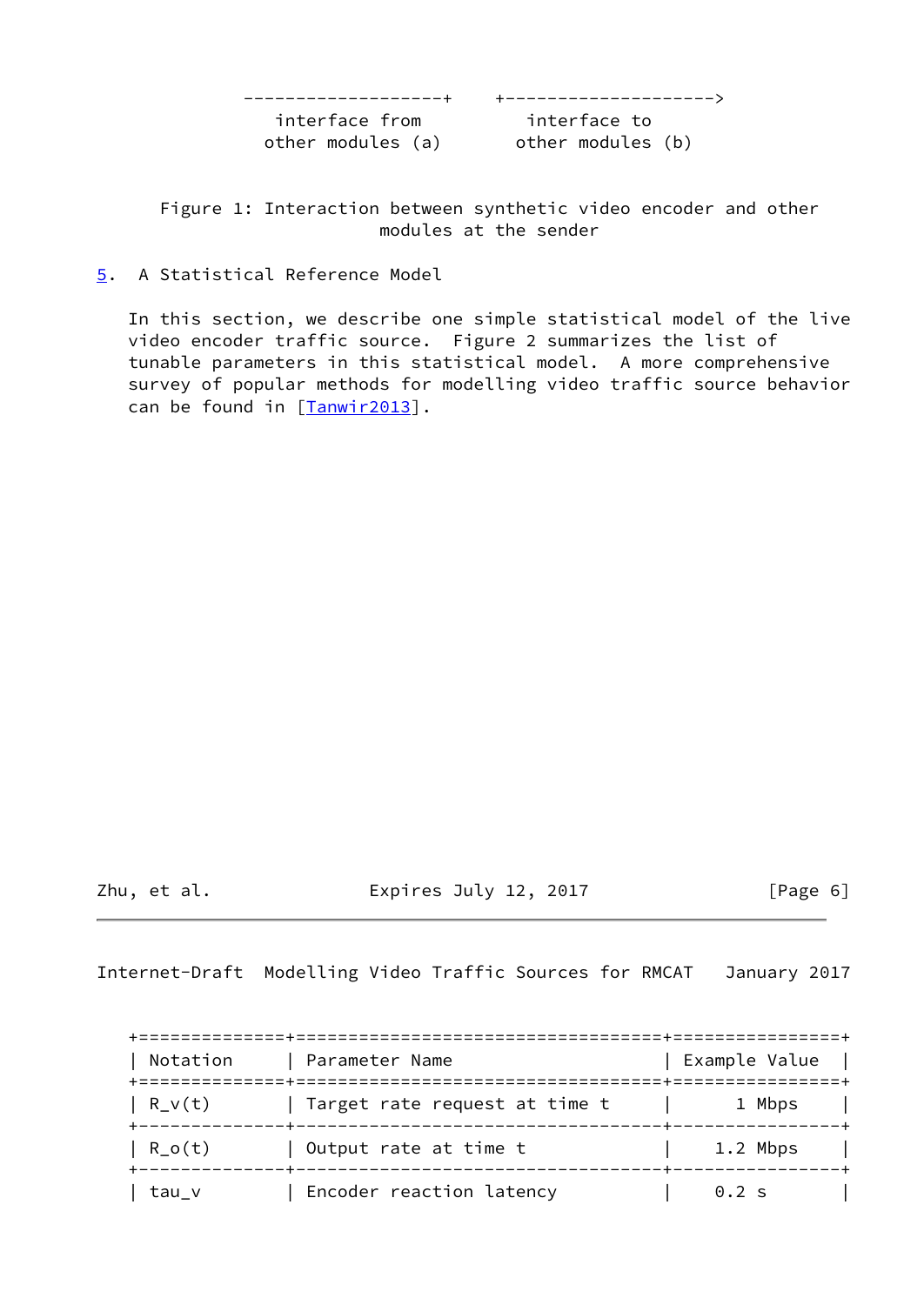-------------------+ +-------------------->

 interface from interface to other modules (a) other modules (b)

 Figure 1: Interaction between synthetic video encoder and other modules at the sender

<span id="page-6-0"></span>[5](#page-6-0). A Statistical Reference Model

 In this section, we describe one simple statistical model of the live video encoder traffic source. Figure 2 summarizes the list of tunable parameters in this statistical model. A more comprehensive survey of popular methods for modelling video traffic source behavior can be found in [\[Tanwir2013\]](#page-17-1).

Zhu, et al. Expires July 12, 2017 [Page 6]

<span id="page-6-1"></span>Internet-Draft Modelling Video Traffic Sources for RMCAT January 2017

| Notation | Parameter Name                                          | Example Value |
|----------|---------------------------------------------------------|---------------|
| $R_V(t)$ | ======================<br>Target rate request at time t | 1 Mbps        |
| $R_0(t)$ | Output rate at time t                                   | 1.2 Mbps      |
| tau v    | Encoder reaction latency                                | $0.2$ s       |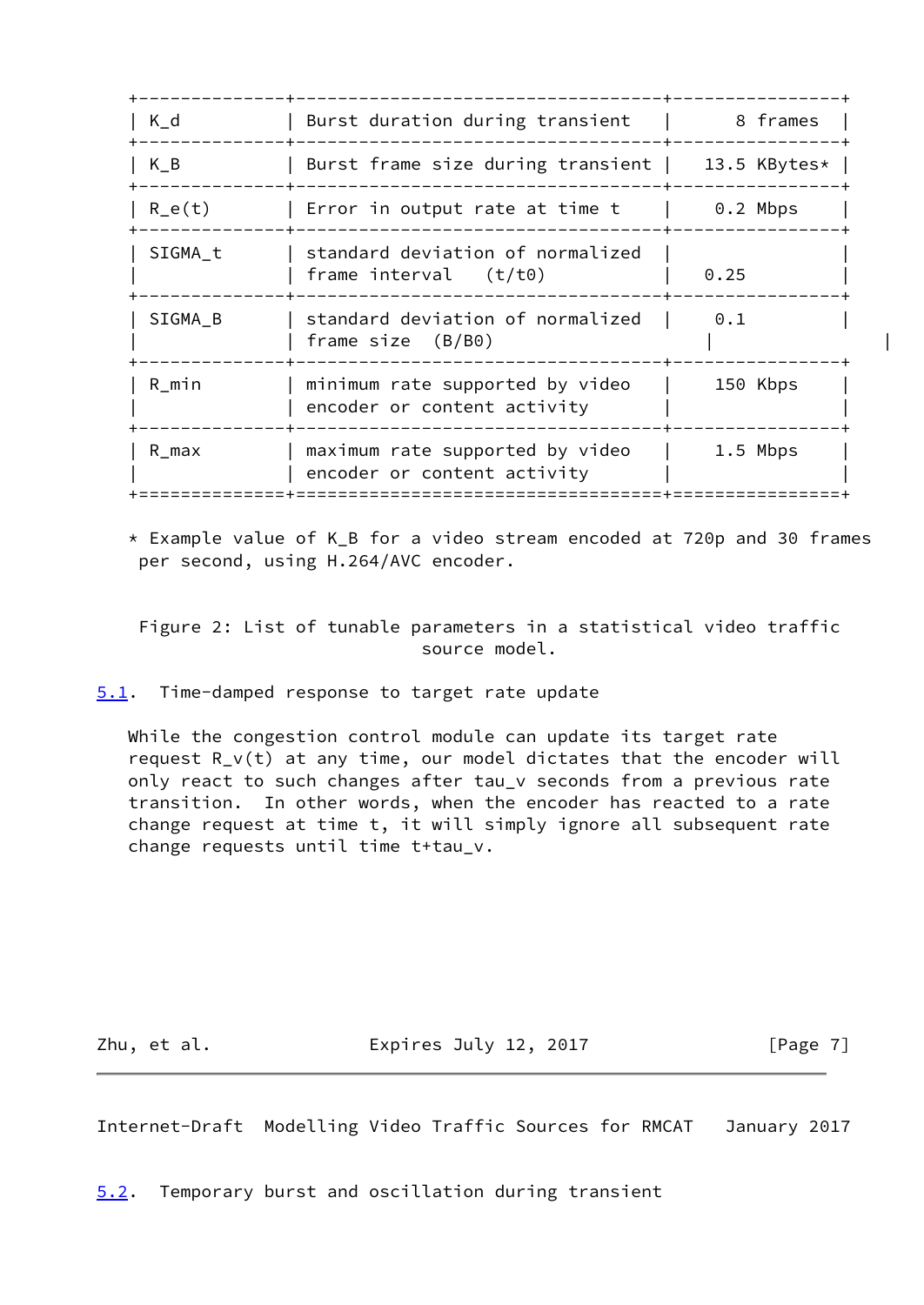| $K_d$    | Burst duration during transient                                | 8 frames     |  |
|----------|----------------------------------------------------------------|--------------|--|
| $K_B$    | Burst frame size during transient                              | 13.5 KBytes* |  |
| $R_e(t)$ | Error in output rate at time t                                 | $0.2$ Mbps   |  |
| SIGMA t  | standard deviation of normalized<br>frame interval $(t/t0)$    | 0.25         |  |
| SIGMA B  | standard deviation of normalized<br>frame size $(B/B0)$        | 0.1          |  |
| R_min    | minimum rate supported by video<br>encoder or content activity | 150 Kbps     |  |
| R_max    | maximum rate supported by video<br>encoder or content activity | $1.5$ Mbps   |  |
|          |                                                                |              |  |

 \* Example value of K\_B for a video stream encoded at 720p and 30 frames per second, using H.264/AVC encoder.

 Figure 2: List of tunable parameters in a statistical video traffic source model.

<span id="page-7-0"></span>[5.1](#page-7-0). Time-damped response to target rate update

While the congestion control module can update its target rate request R\_v(t) at any time, our model dictates that the encoder will only react to such changes after tau\_v seconds from a previous rate transition. In other words, when the encoder has reacted to a rate change request at time t, it will simply ignore all subsequent rate change requests until time t+tau\_v.

Zhu, et al. **Expires July 12, 2017** [Page 7]

<span id="page-7-2"></span>Internet-Draft Modelling Video Traffic Sources for RMCAT January 2017

<span id="page-7-1"></span>[5.2](#page-7-1). Temporary burst and oscillation during transient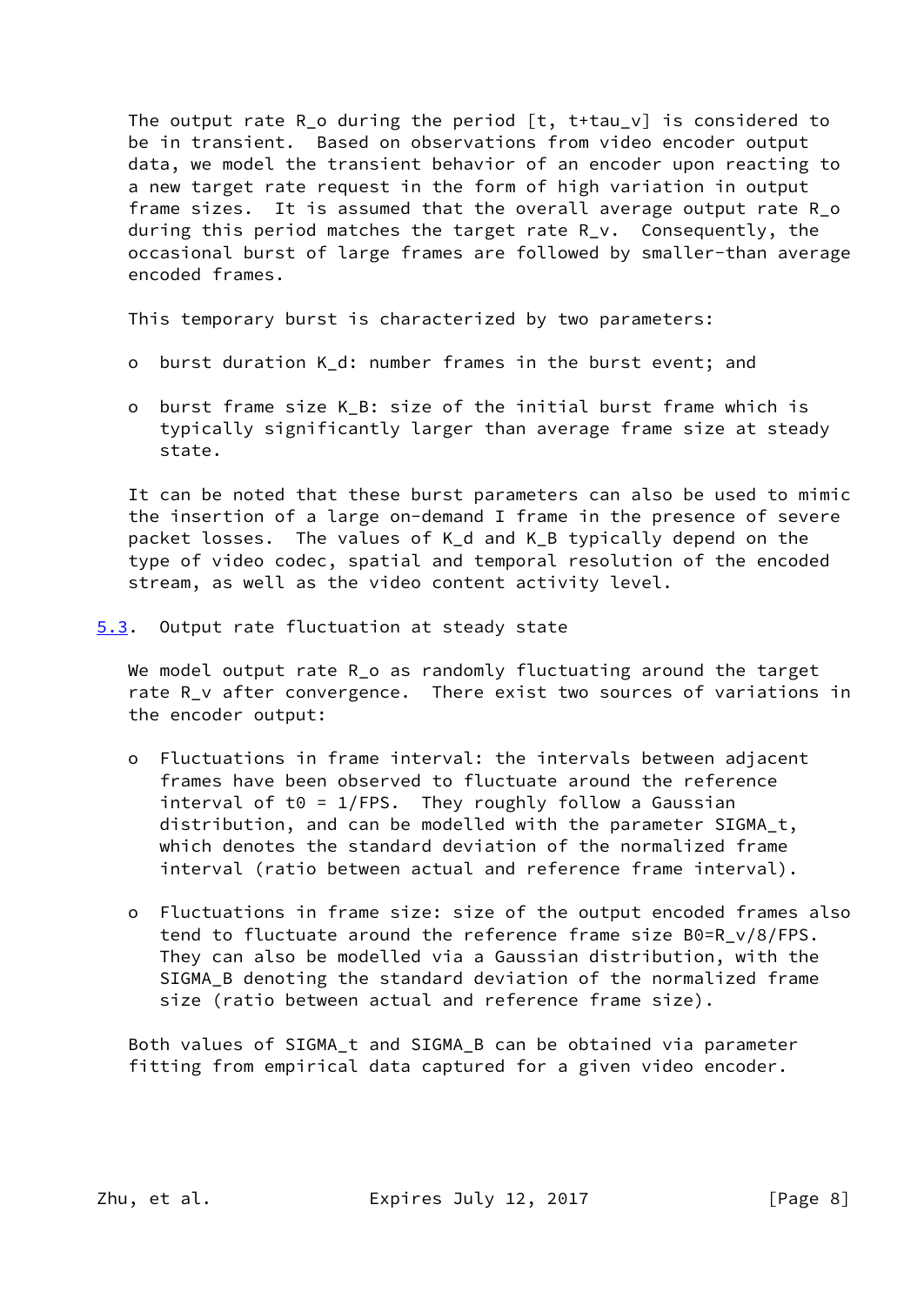The output rate R\_o during the period [t, t+tau\_v] is considered to be in transient. Based on observations from video encoder output data, we model the transient behavior of an encoder upon reacting to a new target rate request in the form of high variation in output frame sizes. It is assumed that the overall average output rate R\_o during this period matches the target rate R v. Consequently, the occasional burst of large frames are followed by smaller-than average encoded frames.

This temporary burst is characterized by two parameters:

- o burst duration K\_d: number frames in the burst event; and
- o burst frame size K\_B: size of the initial burst frame which is typically significantly larger than average frame size at steady state.

 It can be noted that these burst parameters can also be used to mimic the insertion of a large on-demand I frame in the presence of severe packet losses. The values of K\_d and K\_B typically depend on the type of video codec, spatial and temporal resolution of the encoded stream, as well as the video content activity level.

<span id="page-8-0"></span>[5.3](#page-8-0). Output rate fluctuation at steady state

We model output rate R\_o as randomly fluctuating around the target rate R\_v after convergence. There exist two sources of variations in the encoder output:

- o Fluctuations in frame interval: the intervals between adjacent frames have been observed to fluctuate around the reference interval of t0 =  $1/FPS$ . They roughly follow a Gaussian distribution, and can be modelled with the parameter SIGMA\_t, which denotes the standard deviation of the normalized frame interval (ratio between actual and reference frame interval).
- o Fluctuations in frame size: size of the output encoded frames also tend to fluctuate around the reference frame size B0=R\_v/8/FPS. They can also be modelled via a Gaussian distribution, with the SIGMA\_B denoting the standard deviation of the normalized frame size (ratio between actual and reference frame size).

 Both values of SIGMA\_t and SIGMA\_B can be obtained via parameter fitting from empirical data captured for a given video encoder.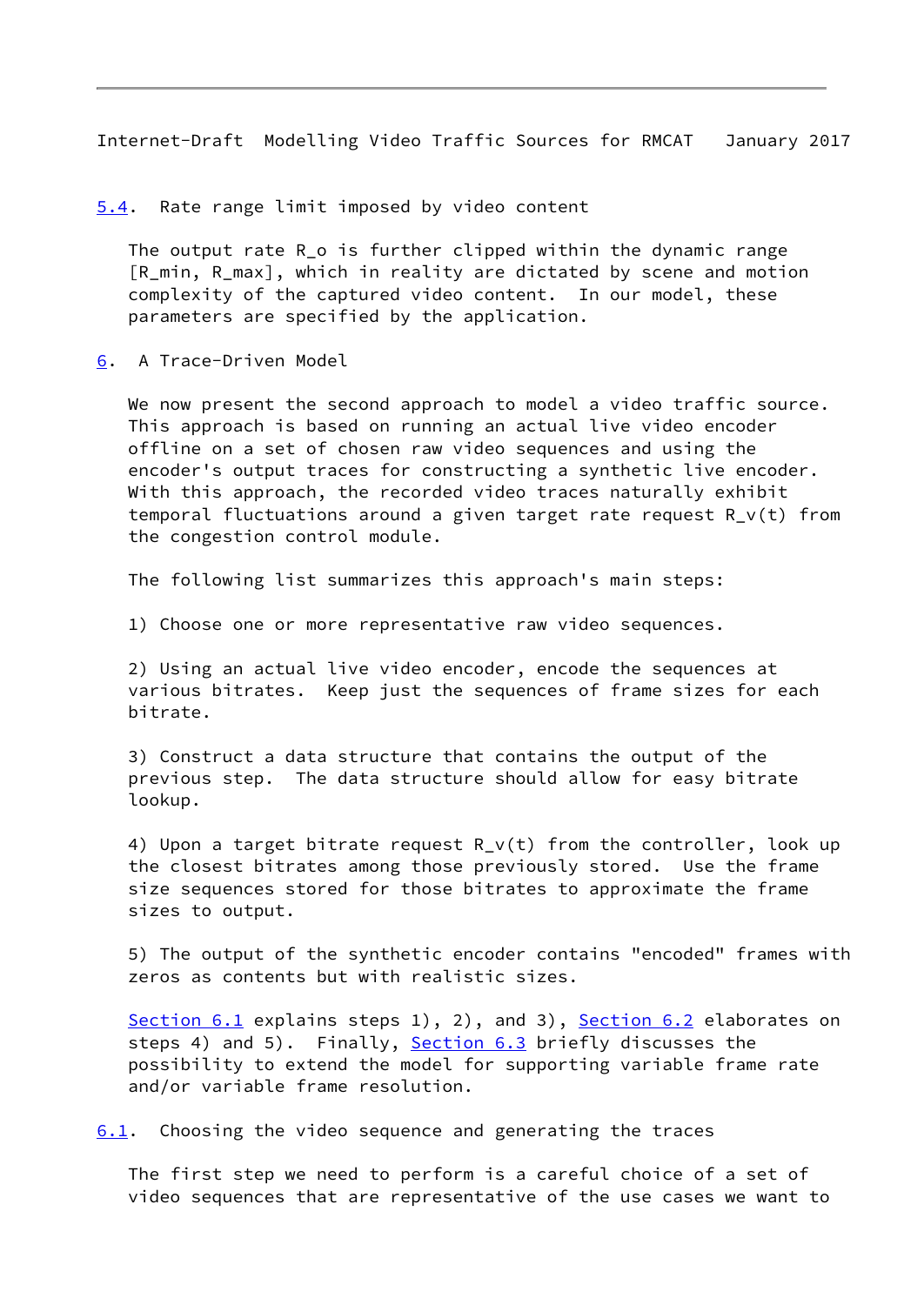<span id="page-9-1"></span>Internet-Draft Modelling Video Traffic Sources for RMCAT January 2017

<span id="page-9-0"></span>[5.4](#page-9-0). Rate range limit imposed by video content

The output rate R o is further clipped within the dynamic range [R\_min, R\_max], which in reality are dictated by scene and motion complexity of the captured video content. In our model, these parameters are specified by the application.

<span id="page-9-2"></span>[6](#page-9-2). A Trace-Driven Model

We now present the second approach to model a video traffic source. This approach is based on running an actual live video encoder offline on a set of chosen raw video sequences and using the encoder's output traces for constructing a synthetic live encoder. With this approach, the recorded video traces naturally exhibit temporal fluctuations around a given target rate request R\_v(t) from the congestion control module.

The following list summarizes this approach's main steps:

1) Choose one or more representative raw video sequences.

 2) Using an actual live video encoder, encode the sequences at various bitrates. Keep just the sequences of frame sizes for each bitrate.

 3) Construct a data structure that contains the output of the previous step. The data structure should allow for easy bitrate lookup.

 4) Upon a target bitrate request R\_v(t) from the controller, look up the closest bitrates among those previously stored. Use the frame size sequences stored for those bitrates to approximate the frame sizes to output.

 5) The output of the synthetic encoder contains "encoded" frames with zeros as contents but with realistic sizes.

[Section 6.1](#page-9-3) explains steps 1), 2), and 3), [Section 6.2](#page-11-0) elaborates on steps 4) and 5). Finally, [Section 6.3](#page-13-1) briefly discusses the possibility to extend the model for supporting variable frame rate and/or variable frame resolution.

<span id="page-9-3"></span>[6.1](#page-9-3). Choosing the video sequence and generating the traces

 The first step we need to perform is a careful choice of a set of video sequences that are representative of the use cases we want to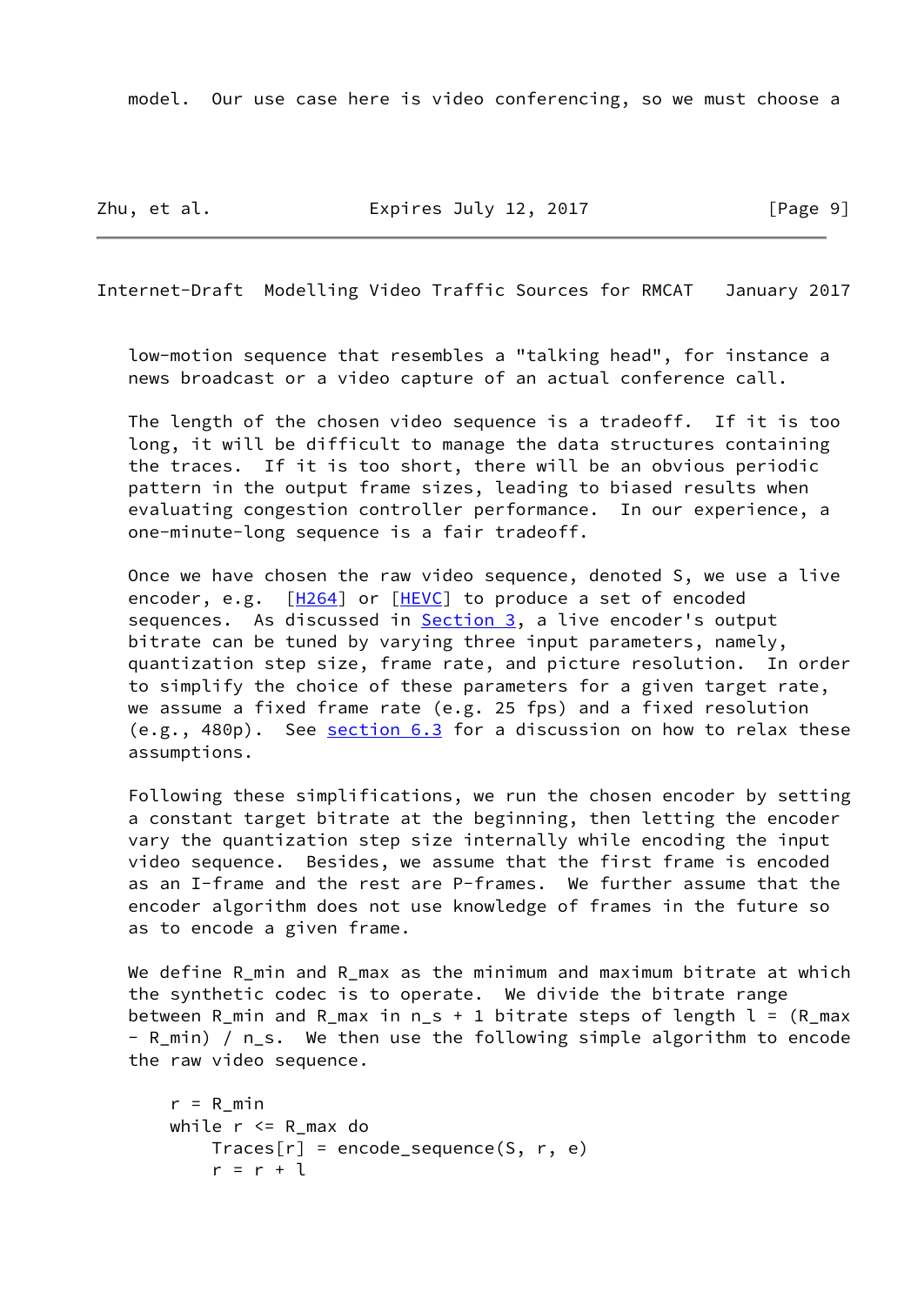model. Our use case here is video conferencing, so we must choose a

Zhu, et al. **Expires July 12, 2017** [Page 9]

Internet-Draft Modelling Video Traffic Sources for RMCAT January 2017

 low-motion sequence that resembles a "talking head", for instance a news broadcast or a video capture of an actual conference call.

 The length of the chosen video sequence is a tradeoff. If it is too long, it will be difficult to manage the data structures containing the traces. If it is too short, there will be an obvious periodic pattern in the output frame sizes, leading to biased results when evaluating congestion controller performance. In our experience, a one-minute-long sequence is a fair tradeoff.

 Once we have chosen the raw video sequence, denoted S, we use a live encoder, e.g.  $[\frac{H264}{}]$  or  $[\frac{HEVC}{}]$  to produce a set of encoded sequences. As discussed in **Section 3**, a live encoder's output bitrate can be tuned by varying three input parameters, namely, quantization step size, frame rate, and picture resolution. In order to simplify the choice of these parameters for a given target rate, we assume a fixed frame rate (e.g. 25 fps) and a fixed resolution  $(e.g., 480p)$ . See [section 6.3](#page-13-1) for a discussion on how to relax these assumptions.

 Following these simplifications, we run the chosen encoder by setting a constant target bitrate at the beginning, then letting the encoder vary the quantization step size internally while encoding the input video sequence. Besides, we assume that the first frame is encoded as an I-frame and the rest are P-frames. We further assume that the encoder algorithm does not use knowledge of frames in the future so as to encode a given frame.

We define R\_min and R\_max as the minimum and maximum bitrate at which the synthetic codec is to operate. We divide the bitrate range between R\_min and R\_max in  $n_s + 1$  bitrate steps of length  $l = (R_m + 1)$  - R\_min) / n\_s. We then use the following simple algorithm to encode the raw video sequence.

```
r = R min
while r \leq R max do
    Trace[r] = encode\_sequence(S, r, e)r = r + 1
```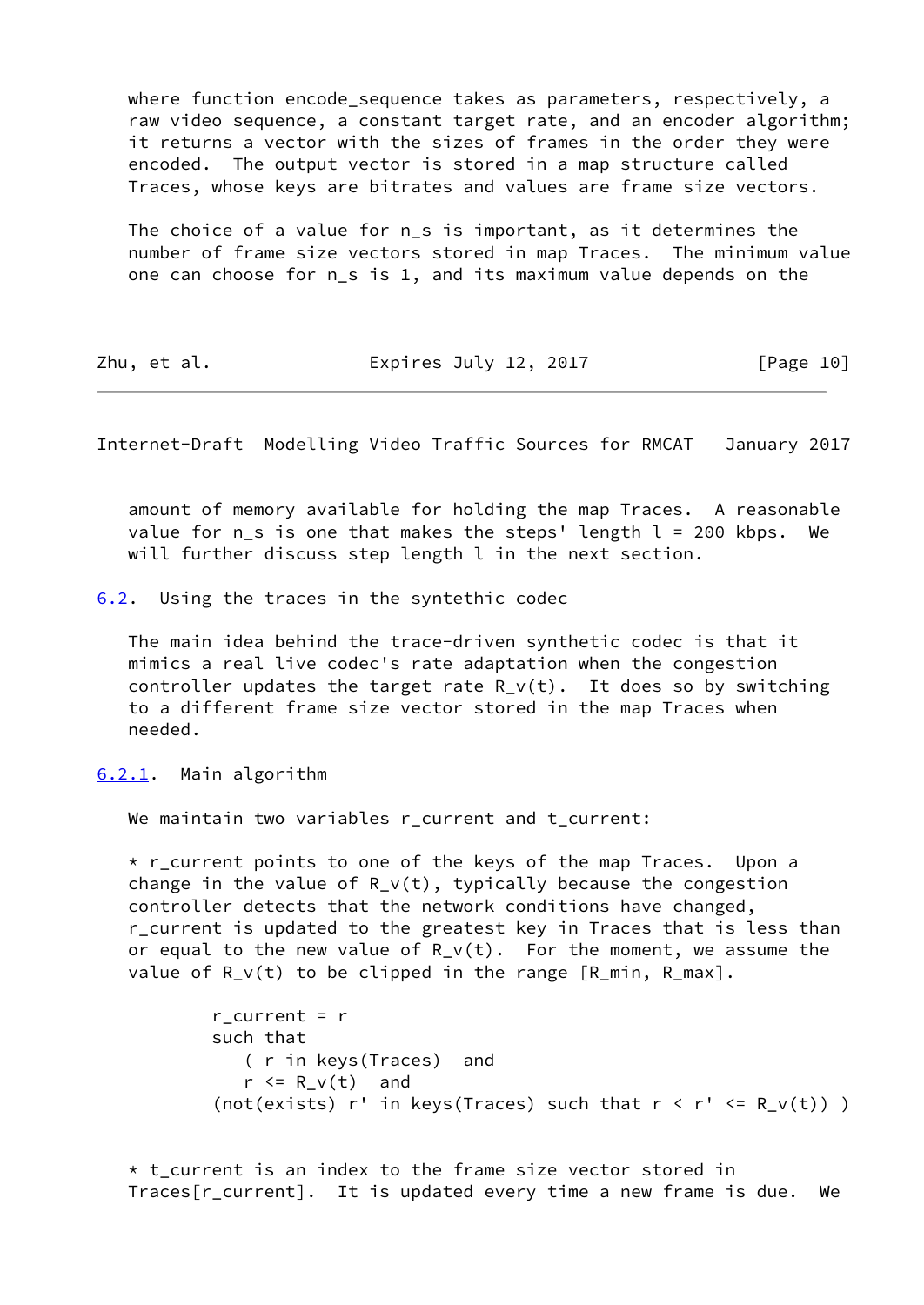where function encode sequence takes as parameters, respectively, a raw video sequence, a constant target rate, and an encoder algorithm; it returns a vector with the sizes of frames in the order they were encoded. The output vector is stored in a map structure called Traces, whose keys are bitrates and values are frame size vectors.

The choice of a value for n s is important, as it determines the number of frame size vectors stored in map Traces. The minimum value one can choose for n\_s is 1, and its maximum value depends on the

| Zhu, et al. | Expires July 12, 2017 | [Page 10] |
|-------------|-----------------------|-----------|
|-------------|-----------------------|-----------|

<span id="page-11-1"></span>Internet-Draft Modelling Video Traffic Sources for RMCAT January 2017

 amount of memory available for holding the map Traces. A reasonable value for  $n_s$  is one that makes the steps' length  $l = 200$  kbps. We will further discuss step length l in the next section.

<span id="page-11-0"></span>[6.2](#page-11-0). Using the traces in the syntethic codec

 The main idea behind the trace-driven synthetic codec is that it mimics a real live codec's rate adaptation when the congestion controller updates the target rate R  $v(t)$ . It does so by switching to a different frame size vector stored in the map Traces when needed.

<span id="page-11-2"></span>[6.2.1](#page-11-2). Main algorithm

We maintain two variables r\_current and t\_current:

 \* r\_current points to one of the keys of the map Traces. Upon a change in the value of  $R_v(t)$ , typically because the congestion controller detects that the network conditions have changed, r\_current is updated to the greatest key in Traces that is less than or equal to the new value of  $R_V(t)$ . For the moment, we assume the value of  $R_V(t)$  to be clipped in the range  $[R_m$ in,  $R_m$ ax].

```
r_{current} = r such that
    ( r in keys(Traces) and
   r \le R \vee(t) and
(not(exists) r' in keys(Traces) such that r \le r' \le R_v(t)) )
```
 $*$  t current is an index to the frame size vector stored in Traces[r\_current]. It is updated every time a new frame is due. We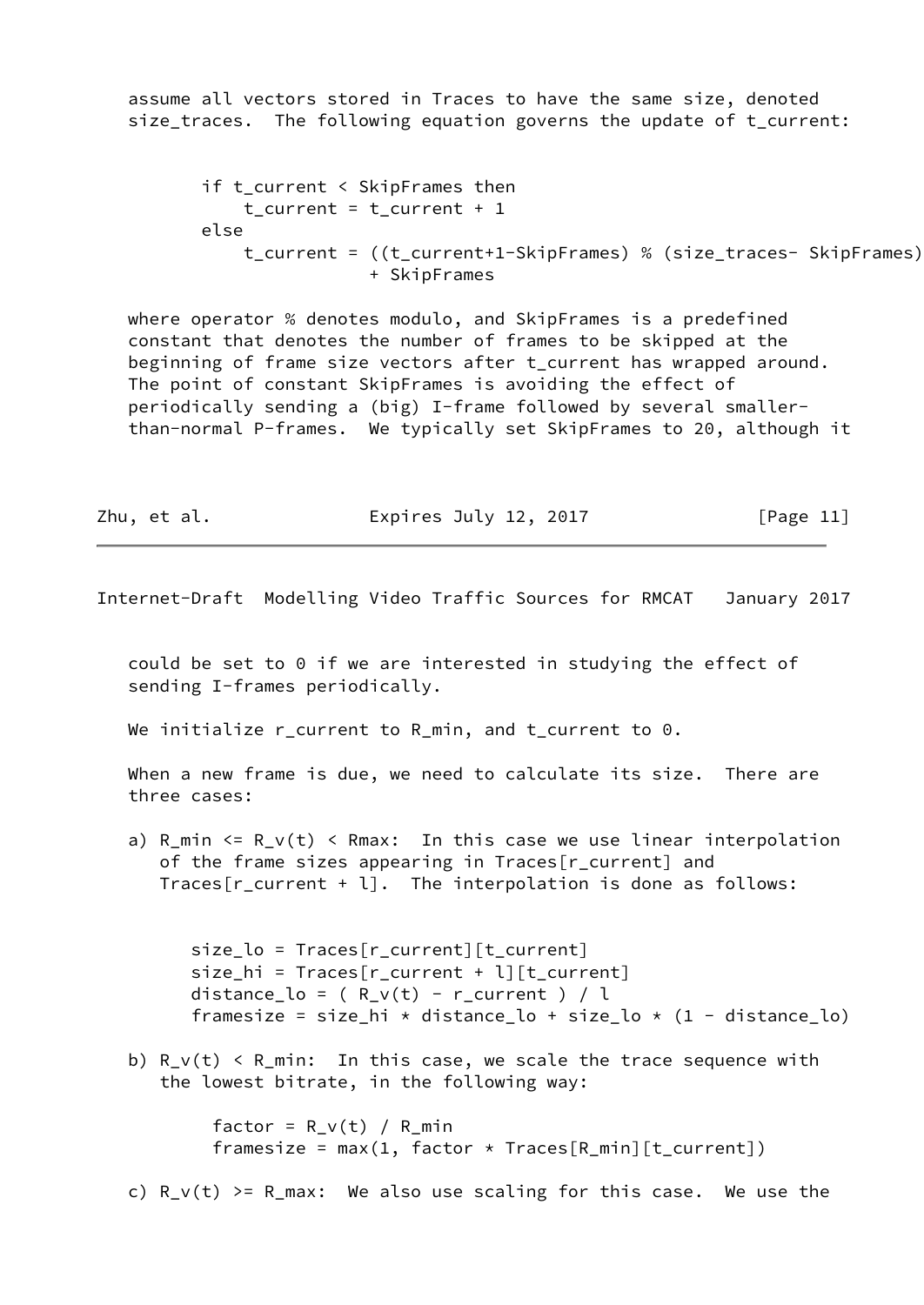assume all vectors stored in Traces to have the same size, denoted size\_traces. The following equation governs the update of t\_current:

```
 if t_current < SkipFrames then
    t current = t current + 1
 else
     t_current = ((t_current+1-SkipFrames) % (size_traces- SkipFrames))
                 + SkipFrames
```
 where operator % denotes modulo, and SkipFrames is a predefined constant that denotes the number of frames to be skipped at the beginning of frame size vectors after t current has wrapped around. The point of constant SkipFrames is avoiding the effect of periodically sending a (big) I-frame followed by several smaller than-normal P-frames. We typically set SkipFrames to 20, although it

Zhu, et al. Expires July 12, 2017 [Page 11]

<span id="page-12-0"></span>Internet-Draft Modelling Video Traffic Sources for RMCAT January 2017

 could be set to 0 if we are interested in studying the effect of sending I-frames periodically.

We initialize r\_current to R\_min, and t\_current to 0.

 When a new frame is due, we need to calculate its size. There are three cases:

a) R\_min  $\leq R_V(t)$   $\leq$  Rmax: In this case we use linear interpolation of the frame sizes appearing in Traces[r\_current] and Traces[r\_current + l]. The interpolation is done as follows:

 size\_lo = Traces[r\_current][t\_current]  $size_hi = Traces[r_current + l][t_current]$ distance\_lo =  $(R_v(t) - r_c($ urrent  $)/l$ framesize = size\_hi \* distance\_lo + size\_lo \*  $(1 - distance_{lo})$ 

b)  $R_V(t)$  <  $R_{min}$ : In this case, we scale the trace sequence with the lowest bitrate, in the following way:

> factor =  $R_v(t) / R_{min}$ framesize = max(1, factor  $\star$  Traces[R\_min][t\_current])

c)  $R_v(t)$  >=  $R_{max}$ : We also use scaling for this case. We use the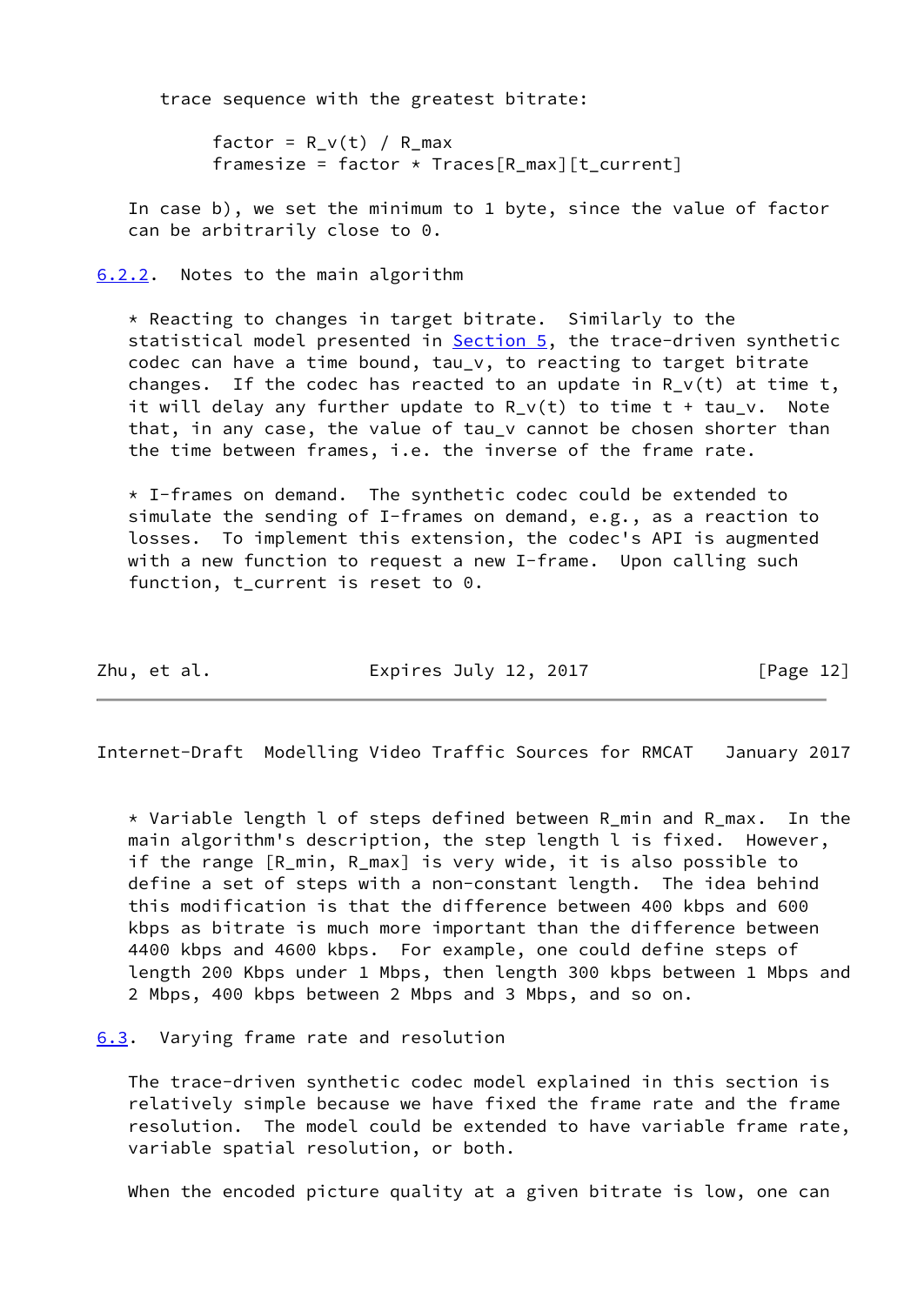trace sequence with the greatest bitrate:

factor =  $R_v(t) / R_{max}$ framesize = factor  $*$  Traces[R\_max][t\_current]

 In case b), we set the minimum to 1 byte, since the value of factor can be arbitrarily close to 0.

<span id="page-13-0"></span>[6.2.2](#page-13-0). Notes to the main algorithm

 \* Reacting to changes in target bitrate. Similarly to the statistical model presented in [Section 5,](#page-6-0) the trace-driven synthetic codec can have a time bound, tau\_v, to reacting to target bitrate changes. If the codec has reacted to an update in  $R_v(t)$  at time t, it will delay any further update to  $R_V(t)$  to time  $t + tau_v$ . Note that, in any case, the value of tau v cannot be chosen shorter than the time between frames, i.e. the inverse of the frame rate.

 $*$  I-frames on demand. The synthetic codec could be extended to simulate the sending of I-frames on demand, e.g., as a reaction to losses. To implement this extension, the codec's API is augmented with a new function to request a new I-frame. Upon calling such function, t current is reset to 0.

|  | Zhu, et al. | Expires July 12, 2017 | [Page 12] |
|--|-------------|-----------------------|-----------|
|--|-------------|-----------------------|-----------|

<span id="page-13-2"></span>Internet-Draft Modelling Video Traffic Sources for RMCAT January 2017

 \* Variable length l of steps defined between R\_min and R\_max. In the main algorithm's description, the step length l is fixed. However, if the range [R\_min, R\_max] is very wide, it is also possible to define a set of steps with a non-constant length. The idea behind this modification is that the difference between 400 kbps and 600 kbps as bitrate is much more important than the difference between 4400 kbps and 4600 kbps. For example, one could define steps of length 200 Kbps under 1 Mbps, then length 300 kbps between 1 Mbps and 2 Mbps, 400 kbps between 2 Mbps and 3 Mbps, and so on.

## <span id="page-13-1"></span>[6.3](#page-13-1). Varying frame rate and resolution

 The trace-driven synthetic codec model explained in this section is relatively simple because we have fixed the frame rate and the frame resolution. The model could be extended to have variable frame rate, variable spatial resolution, or both.

When the encoded picture quality at a given bitrate is low, one can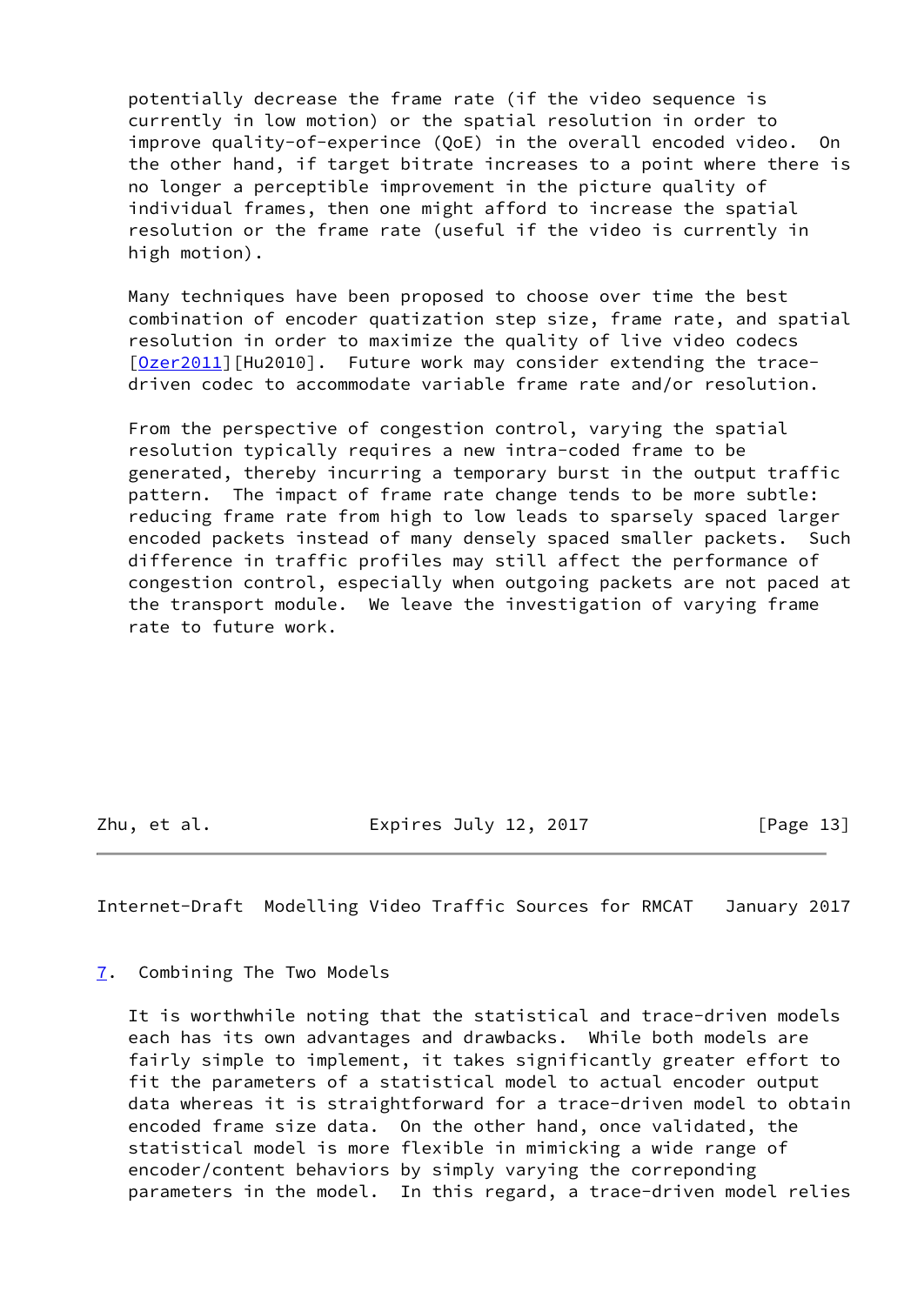potentially decrease the frame rate (if the video sequence is currently in low motion) or the spatial resolution in order to improve quality-of-experince (QoE) in the overall encoded video. On the other hand, if target bitrate increases to a point where there is no longer a perceptible improvement in the picture quality of individual frames, then one might afford to increase the spatial resolution or the frame rate (useful if the video is currently in high motion).

 Many techniques have been proposed to choose over time the best combination of encoder quatization step size, frame rate, and spatial resolution in order to maximize the quality of live video codecs [\[Ozer2011](#page-16-7)][Hu2010]. Future work may consider extending the tracedriven codec to accommodate variable frame rate and/or resolution.

 From the perspective of congestion control, varying the spatial resolution typically requires a new intra-coded frame to be generated, thereby incurring a temporary burst in the output traffic pattern. The impact of frame rate change tends to be more subtle: reducing frame rate from high to low leads to sparsely spaced larger encoded packets instead of many densely spaced smaller packets. Such difference in traffic profiles may still affect the performance of congestion control, especially when outgoing packets are not paced at the transport module. We leave the investigation of varying frame rate to future work.

Zhu, et al. **Expires July 12, 2017** [Page 13]

<span id="page-14-1"></span>Internet-Draft Modelling Video Traffic Sources for RMCAT January 2017

<span id="page-14-0"></span>[7](#page-14-0). Combining The Two Models

 It is worthwhile noting that the statistical and trace-driven models each has its own advantages and drawbacks. While both models are fairly simple to implement, it takes significantly greater effort to fit the parameters of a statistical model to actual encoder output data whereas it is straightforward for a trace-driven model to obtain encoded frame size data. On the other hand, once validated, the statistical model is more flexible in mimicking a wide range of encoder/content behaviors by simply varying the correponding parameters in the model. In this regard, a trace-driven model relies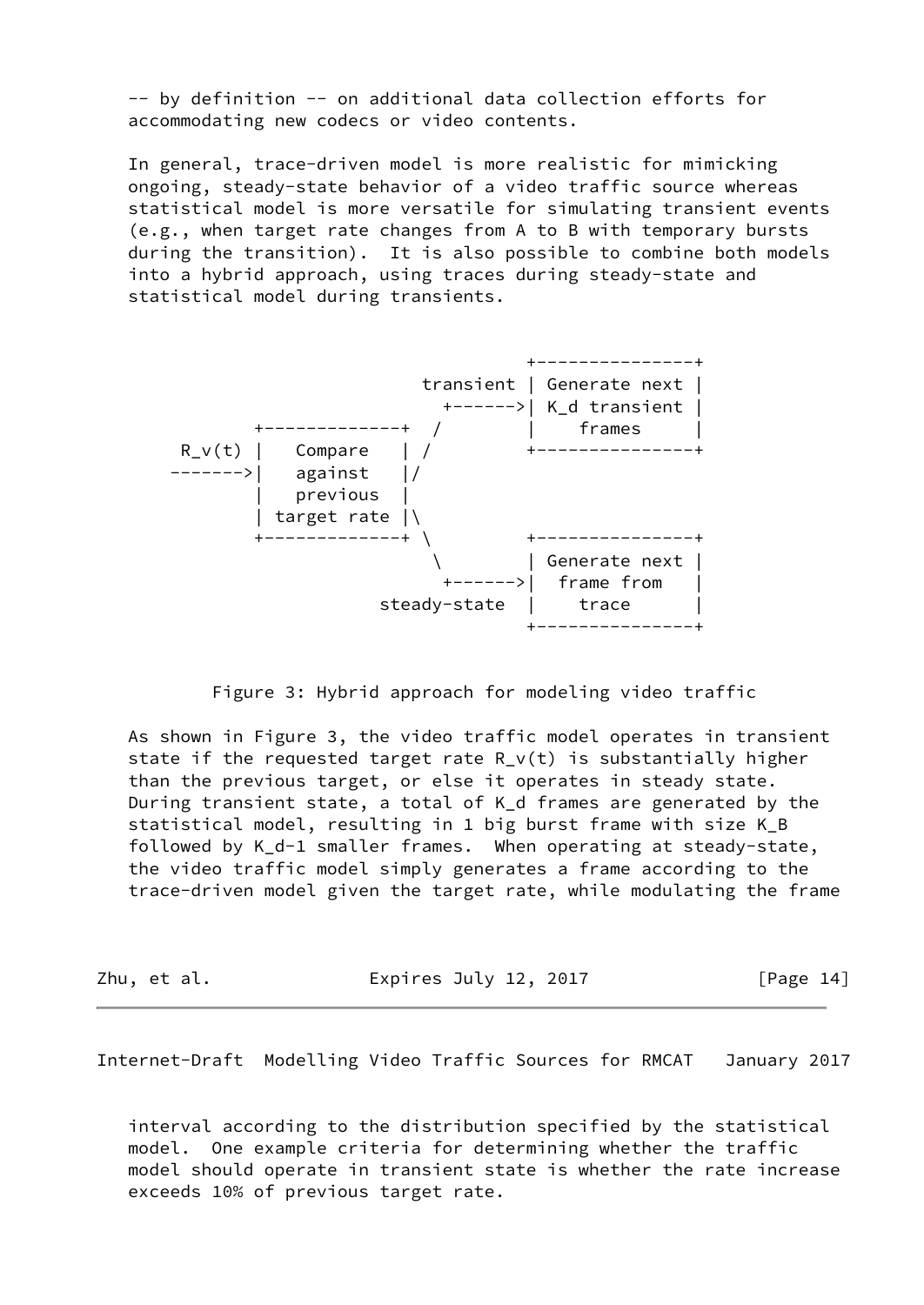-- by definition -- on additional data collection efforts for accommodating new codecs or video contents.

 In general, trace-driven model is more realistic for mimicking ongoing, steady-state behavior of a video traffic source whereas statistical model is more versatile for simulating transient events (e.g., when target rate changes from A to B with temporary bursts during the transition). It is also possible to combine both models into a hybrid approach, using traces during steady-state and statistical model during transients.



Figure 3: Hybrid approach for modeling video traffic

 As shown in Figure 3, the video traffic model operates in transient state if the requested target rate  $R_V(t)$  is substantially higher than the previous target, or else it operates in steady state. During transient state, a total of K\_d frames are generated by the statistical model, resulting in 1 big burst frame with size K\_B followed by K d-1 smaller frames. When operating at steady-state, the video traffic model simply generates a frame according to the trace-driven model given the target rate, while modulating the frame

Zhu, et al. **Expires July 12, 2017** [Page 14]

<span id="page-15-0"></span>Internet-Draft Modelling Video Traffic Sources for RMCAT January 2017

 interval according to the distribution specified by the statistical model. One example criteria for determining whether the traffic model should operate in transient state is whether the rate increase exceeds 10% of previous target rate.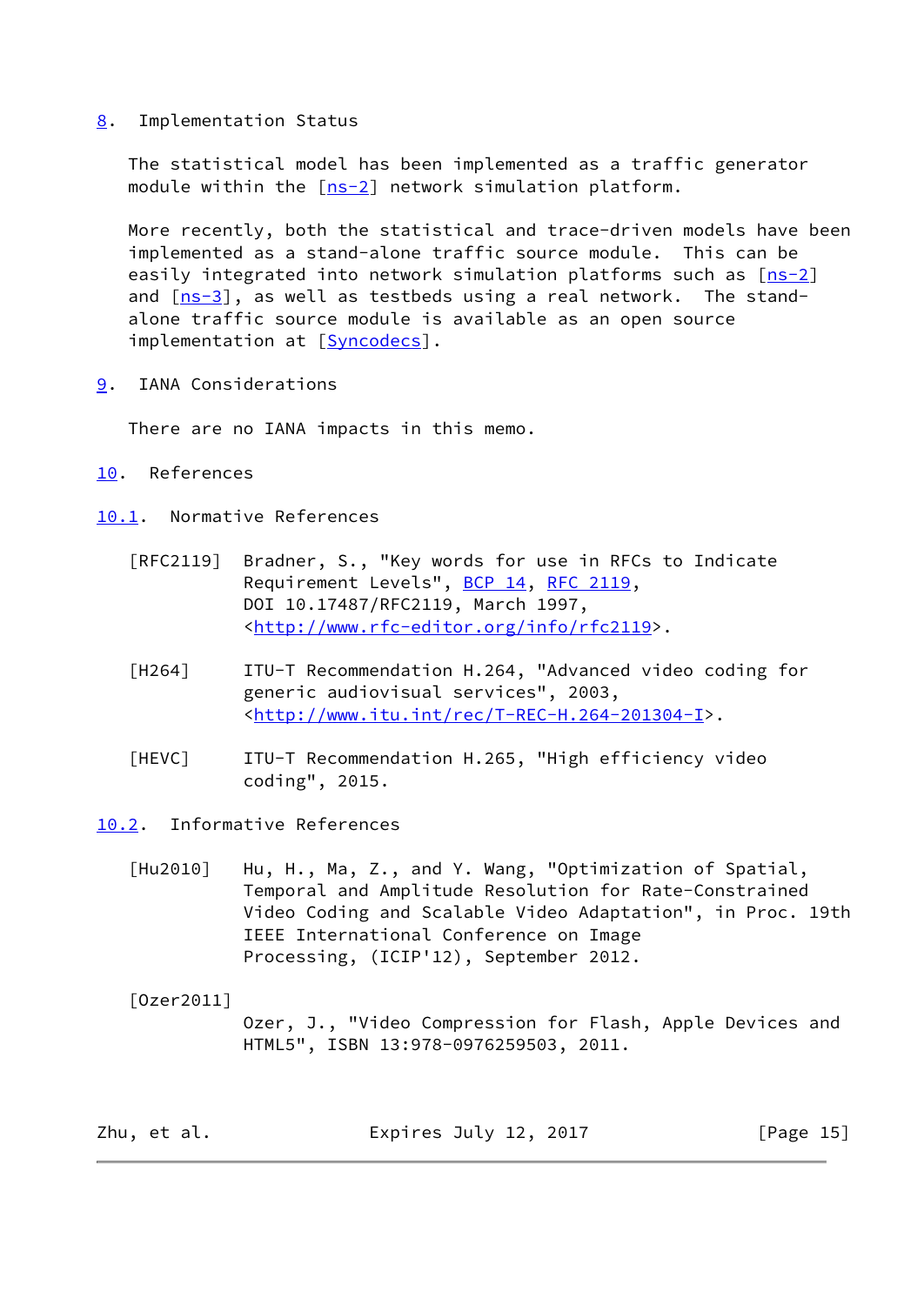<span id="page-16-0"></span>[8](#page-16-0). Implementation Status

 The statistical model has been implemented as a traffic generator module within the  $[ns-2]$  $[ns-2]$  network simulation platform.

 More recently, both the statistical and trace-driven models have been implemented as a stand-alone traffic source module. This can be easily integrated into network simulation platforms such as  $[ns-2]$  $[ns-2]$  and [\[ns-3](#page-17-3)], as well as testbeds using a real network. The stand alone traffic source module is available as an open source implementation at [[Syncodecs\]](#page-17-4).

<span id="page-16-1"></span>[9](#page-16-1). IANA Considerations

There are no IANA impacts in this memo.

<span id="page-16-2"></span>[10.](#page-16-2) References

<span id="page-16-3"></span>[10.1](#page-16-3). Normative References

- [RFC2119] Bradner, S., "Key words for use in RFCs to Indicate Requirement Levels", [BCP 14](https://datatracker.ietf.org/doc/pdf/bcp14), [RFC 2119](https://datatracker.ietf.org/doc/pdf/rfc2119), DOI 10.17487/RFC2119, March 1997, <<http://www.rfc-editor.org/info/rfc2119>>.
- <span id="page-16-5"></span> [H264] ITU-T Recommendation H.264, "Advanced video coding for generic audiovisual services", 2003, <[http://www.itu.int/rec/T-REC-H.264-201304-I>](http://www.itu.int/rec/T-REC-H.264-201304-I).
- <span id="page-16-6"></span> [HEVC] ITU-T Recommendation H.265, "High efficiency video coding", 2015.
- <span id="page-16-4"></span>[10.2](#page-16-4). Informative References
	- [Hu2010] Hu, H., Ma, Z., and Y. Wang, "Optimization of Spatial, Temporal and Amplitude Resolution for Rate-Constrained Video Coding and Scalable Video Adaptation", in Proc. 19th IEEE International Conference on Image Processing, (ICIP'12), September 2012.

<span id="page-16-7"></span> [Ozer2011] Ozer, J., "Video Compression for Flash, Apple Devices and HTML5", ISBN 13:978-0976259503, 2011.

| [Page 15]<br>Expires July 12, 2017<br>Zhu, et al. |  |
|---------------------------------------------------|--|
|---------------------------------------------------|--|